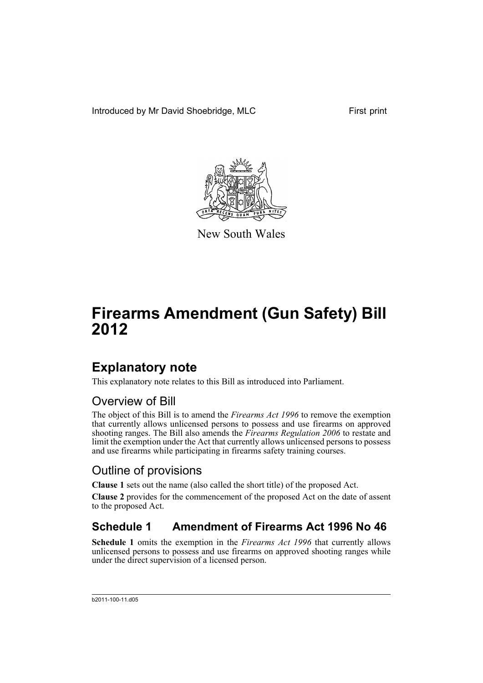Introduced by Mr David Shoebridge, MLC First print



New South Wales

# **Firearms Amendment (Gun Safety) Bill 2012**

## **Explanatory note**

This explanatory note relates to this Bill as introduced into Parliament.

### Overview of Bill

The object of this Bill is to amend the *Firearms Act 1996* to remove the exemption that currently allows unlicensed persons to possess and use firearms on approved shooting ranges. The Bill also amends the *Firearms Regulation 2006* to restate and limit the exemption under the Act that currently allows unlicensed persons to possess and use firearms while participating in firearms safety training courses.

### Outline of provisions

**Clause 1** sets out the name (also called the short title) of the proposed Act.

**Clause 2** provides for the commencement of the proposed Act on the date of assent to the proposed Act.

### **Schedule 1 Amendment of Firearms Act 1996 No 46**

**Schedule 1** omits the exemption in the *Firearms Act 1996* that currently allows unlicensed persons to possess and use firearms on approved shooting ranges while under the direct supervision of a licensed person.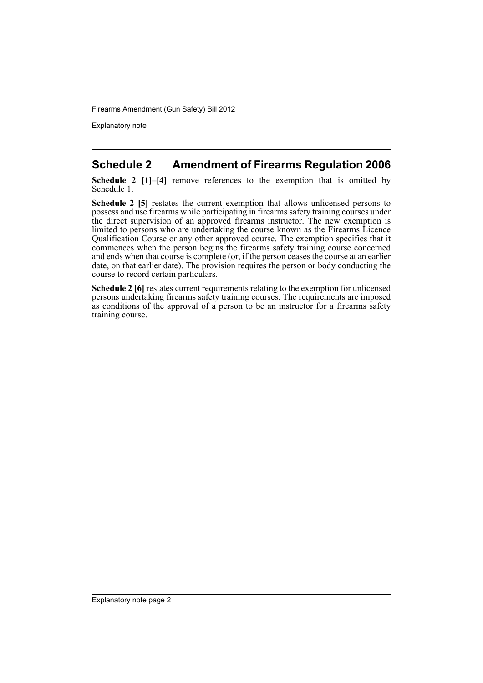Explanatory note

#### **Schedule 2 Amendment of Firearms Regulation 2006**

**Schedule 2 [1]–[4]** remove references to the exemption that is omitted by Schedule 1.

**Schedule 2 [5]** restates the current exemption that allows unlicensed persons to possess and use firearms while participating in firearms safety training courses under the direct supervision of an approved firearms instructor. The new exemption is limited to persons who are undertaking the course known as the Firearms Licence Qualification Course or any other approved course. The exemption specifies that it commences when the person begins the firearms safety training course concerned and ends when that course is complete (or, if the person ceases the course at an earlier date, on that earlier date). The provision requires the person or body conducting the course to record certain particulars.

**Schedule 2 [6]** restates current requirements relating to the exemption for unlicensed persons undertaking firearms safety training courses. The requirements are imposed as conditions of the approval of a person to be an instructor for a firearms safety training course.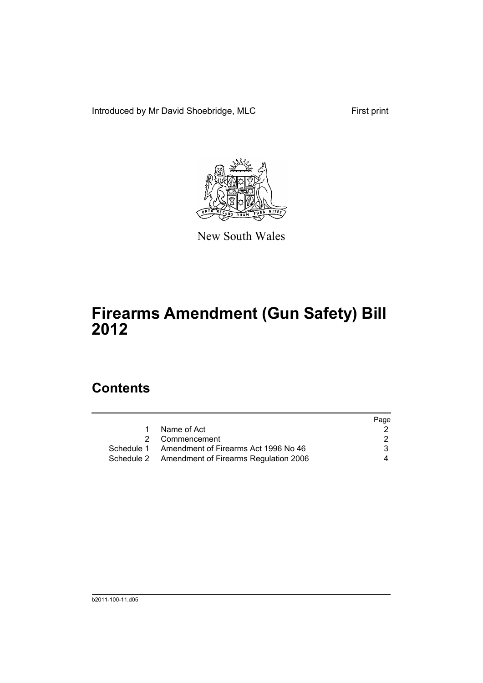Introduced by Mr David Shoebridge, MLC First print



New South Wales

## **Firearms Amendment (Gun Safety) Bill 2012**

## **Contents**

|                                                  | Page |
|--------------------------------------------------|------|
| Name of Act<br>1                                 |      |
| 2 Commencement                                   | 2    |
| Schedule 1 Amendment of Firearms Act 1996 No 46  | 3    |
| Schedule 2 Amendment of Firearms Regulation 2006 | 4    |
|                                                  |      |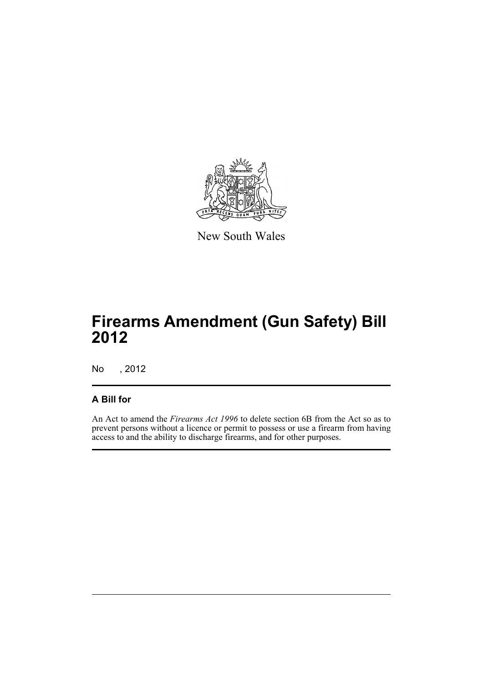

New South Wales

## **Firearms Amendment (Gun Safety) Bill 2012**

No , 2012

#### **A Bill for**

An Act to amend the *Firearms Act 1996* to delete section 6B from the Act so as to prevent persons without a licence or permit to possess or use a firearm from having access to and the ability to discharge firearms, and for other purposes.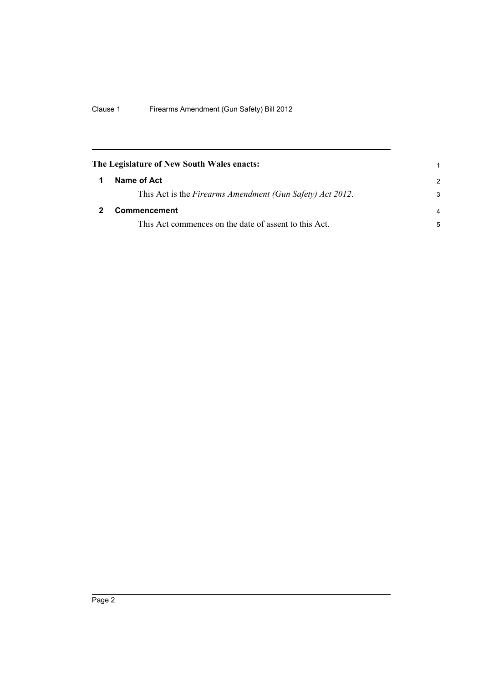<span id="page-5-1"></span><span id="page-5-0"></span>

| The Legislature of New South Wales enacts:                |               |  |
|-----------------------------------------------------------|---------------|--|
| Name of Act                                               | $\mathcal{P}$ |  |
| This Act is the Firearms Amendment (Gun Safety) Act 2012. | 3             |  |
| <b>Commencement</b>                                       |               |  |
| This Act commences on the date of assent to this Act.     | 5             |  |
|                                                           |               |  |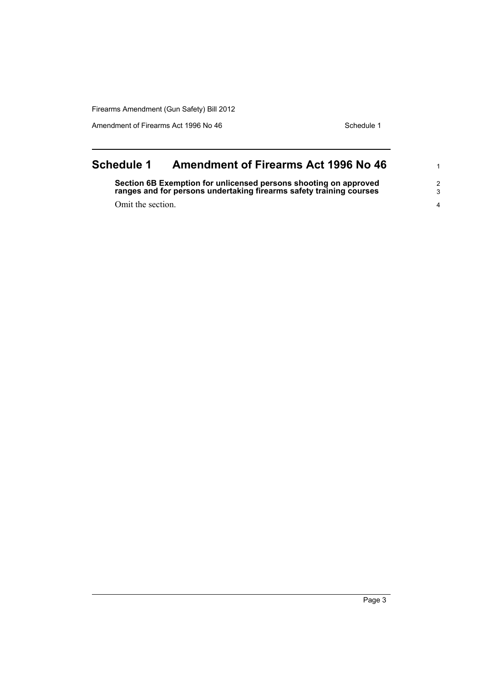Amendment of Firearms Act 1996 No 46 Schedule 1

<span id="page-6-0"></span>

| <b>Schedule 1</b> | <b>Amendment of Firearms Act 1996 No 46</b>                                                                                             |         |
|-------------------|-----------------------------------------------------------------------------------------------------------------------------------------|---------|
|                   | Section 6B Exemption for unlicensed persons shooting on approved<br>ranges and for persons undertaking firearms safety training courses | 2<br>-3 |
| Omit the section. |                                                                                                                                         |         |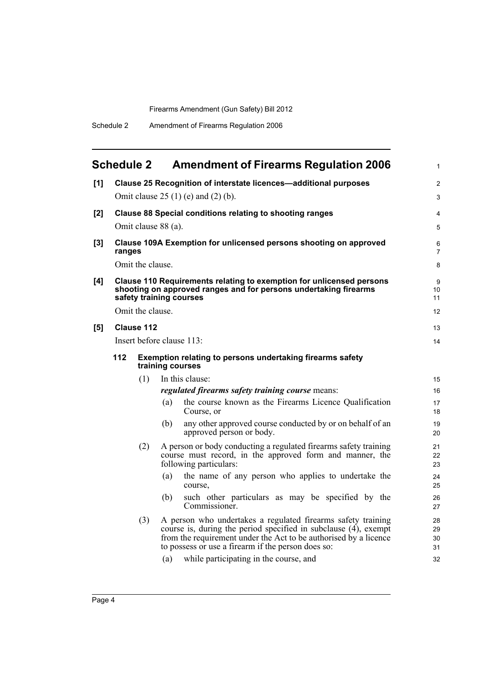<span id="page-7-0"></span>

|     | <b>Schedule 2</b>                                                                                                                                                                                                                                                |                  |                      | <b>Amendment of Firearms Regulation 2006</b>                                                                                 | 1              |  |
|-----|------------------------------------------------------------------------------------------------------------------------------------------------------------------------------------------------------------------------------------------------------------------|------------------|----------------------|------------------------------------------------------------------------------------------------------------------------------|----------------|--|
| [1] | Clause 25 Recognition of interstate licences-additional purposes                                                                                                                                                                                                 |                  |                      |                                                                                                                              | 2              |  |
|     | Omit clause $25(1)$ (e) and $(2)$ (b).                                                                                                                                                                                                                           |                  |                      |                                                                                                                              |                |  |
| [2] | <b>Clause 88 Special conditions relating to shooting ranges</b><br>Omit clause 88 (a).                                                                                                                                                                           |                  |                      |                                                                                                                              | 4<br>5         |  |
| [3] | Clause 109A Exemption for unlicensed persons shooting on approved<br>ranges                                                                                                                                                                                      |                  |                      |                                                                                                                              |                |  |
|     | Omit the clause.                                                                                                                                                                                                                                                 |                  |                      |                                                                                                                              |                |  |
| [4] | Clause 110 Requirements relating to exemption for unlicensed persons<br>shooting on approved ranges and for persons undertaking firearms<br>safety training courses                                                                                              |                  |                      |                                                                                                                              |                |  |
|     |                                                                                                                                                                                                                                                                  | Omit the clause. |                      |                                                                                                                              | 12             |  |
| [5] |                                                                                                                                                                                                                                                                  | Clause 112       |                      |                                                                                                                              | 13             |  |
|     | Insert before clause 113:                                                                                                                                                                                                                                        |                  |                      |                                                                                                                              | 14             |  |
|     | 112<br>Exemption relating to persons undertaking firearms safety<br>training courses<br>(1)<br>In this clause:                                                                                                                                                   |                  |                      |                                                                                                                              |                |  |
|     |                                                                                                                                                                                                                                                                  |                  |                      |                                                                                                                              | 15             |  |
|     |                                                                                                                                                                                                                                                                  |                  |                      | regulated firearms safety training course means:                                                                             | 16             |  |
|     |                                                                                                                                                                                                                                                                  |                  | (a)                  | the course known as the Firearms Licence Qualification<br>Course, or                                                         | 17<br>18       |  |
|     |                                                                                                                                                                                                                                                                  |                  | (b)                  | any other approved course conducted by or on behalf of an<br>approved person or body.                                        | 19<br>20       |  |
|     | (2)<br>following particulars:                                                                                                                                                                                                                                    |                  |                      | A person or body conducting a regulated firearms safety training<br>course must record, in the approved form and manner, the | 21<br>22<br>23 |  |
|     |                                                                                                                                                                                                                                                                  |                  | (a)                  | the name of any person who applies to undertake the<br>course.                                                               | 24<br>25       |  |
|     |                                                                                                                                                                                                                                                                  |                  | (b)                  | such other particulars as may be specified by the<br>Commissioner.                                                           | 26<br>27       |  |
|     | A person who undertakes a regulated firearms safety training<br>(3)<br>course is, during the period specified in subclause (4), exempt<br>from the requirement under the Act to be authorised by a licence<br>to possess or use a firearm if the person does so: |                  | 28<br>29<br>30<br>31 |                                                                                                                              |                |  |
|     |                                                                                                                                                                                                                                                                  |                  | (a)                  | while participating in the course, and                                                                                       | 32             |  |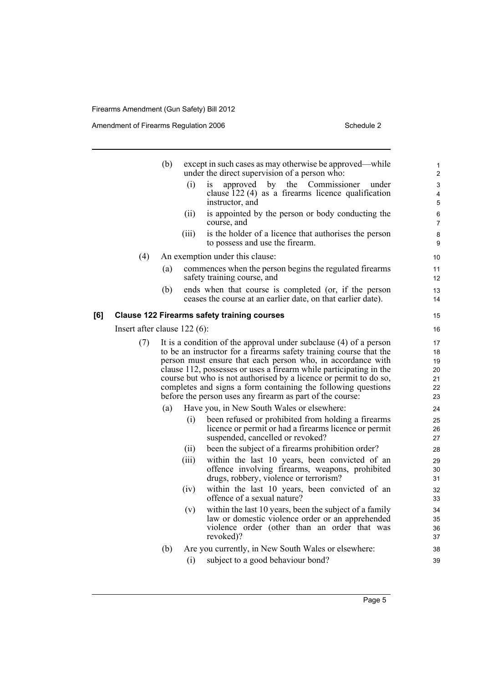Amendment of Firearms Regulation 2006 Schedule 2

[6] Clause

|                                | (b) | except in such cases as may otherwise be approved—while<br>under the direct supervision of a person who:                                                                                                                                                                                                                                                                                                                                                                        | 1<br>$\overline{2}$                                                                                                                             |                           |
|--------------------------------|-----|---------------------------------------------------------------------------------------------------------------------------------------------------------------------------------------------------------------------------------------------------------------------------------------------------------------------------------------------------------------------------------------------------------------------------------------------------------------------------------|-------------------------------------------------------------------------------------------------------------------------------------------------|---------------------------|
|                                |     | (i)<br>1S                                                                                                                                                                                                                                                                                                                                                                                                                                                                       | Commissioner<br>by the<br>approved<br>under<br>clause $122(4)$ as a firearms licence qualification<br>instructor, and                           | 3<br>$\overline{4}$<br>5  |
|                                |     | (ii)<br>course, and                                                                                                                                                                                                                                                                                                                                                                                                                                                             | is appointed by the person or body conducting the                                                                                               | $\,6\,$<br>$\overline{7}$ |
|                                |     | (iii)                                                                                                                                                                                                                                                                                                                                                                                                                                                                           | is the holder of a licence that authorises the person<br>to possess and use the firearm.                                                        | 8<br>9                    |
| (4)                            |     | An exemption under this clause:                                                                                                                                                                                                                                                                                                                                                                                                                                                 |                                                                                                                                                 | 10                        |
|                                | (a) |                                                                                                                                                                                                                                                                                                                                                                                                                                                                                 | commences when the person begins the regulated firearms<br>safety training course, and                                                          | 11<br>12                  |
|                                | (b) |                                                                                                                                                                                                                                                                                                                                                                                                                                                                                 | ends when that course is completed (or, if the person<br>ceases the course at an earlier date, on that earlier date).                           | 13<br>14                  |
|                                |     |                                                                                                                                                                                                                                                                                                                                                                                                                                                                                 | <b>Clause 122 Firearms safety training courses</b>                                                                                              | 15                        |
| Insert after clause $122(6)$ : |     |                                                                                                                                                                                                                                                                                                                                                                                                                                                                                 |                                                                                                                                                 | 16                        |
| (7)                            |     | It is a condition of the approval under subclause (4) of a person<br>to be an instructor for a firearms safety training course that the<br>person must ensure that each person who, in accordance with<br>clause 112, possesses or uses a firearm while participating in the<br>course but who is not authorised by a licence or permit to do so,<br>completes and signs a form containing the following questions<br>before the person uses any firearm as part of the course: |                                                                                                                                                 |                           |
|                                | (a) |                                                                                                                                                                                                                                                                                                                                                                                                                                                                                 | Have you, in New South Wales or elsewhere:                                                                                                      | 24                        |
|                                |     | (i)                                                                                                                                                                                                                                                                                                                                                                                                                                                                             | been refused or prohibited from holding a firearms<br>licence or permit or had a firearms licence or permit<br>suspended, cancelled or revoked? | 25<br>26<br>27            |
|                                |     | (ii)                                                                                                                                                                                                                                                                                                                                                                                                                                                                            | been the subject of a firearms prohibition order?                                                                                               | 28                        |
|                                |     | (iii)                                                                                                                                                                                                                                                                                                                                                                                                                                                                           | within the last 10 years, been convicted of an<br>offence involving firearms, weapons, prohibited<br>drugs, robbery, violence or terrorism?     | 29<br>30<br>31            |
|                                |     | (iv)                                                                                                                                                                                                                                                                                                                                                                                                                                                                            | within the last 10 years, been convicted of an<br>offence of a sexual nature?                                                                   | 32<br>33                  |
|                                |     | (v)                                                                                                                                                                                                                                                                                                                                                                                                                                                                             | within the last 10 years, been the subject of a family<br>law or domestic violence order or an apprehended                                      | 34<br>35                  |

revoked)? (b) Are you currently, in New South Wales or elsewhere:

violence order (other than an order that was

(i) subject to a good behaviour bond?